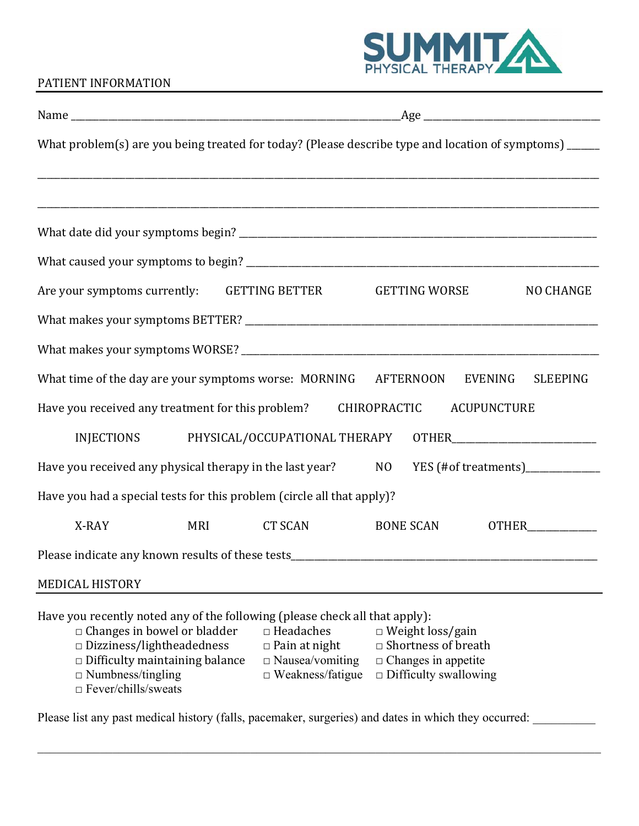

## PATIENT INFORMATION

|                                                                                                                                                                                                                                              |            |                                                                                               | What problem(s) are you being treated for today? (Please describe type and location of symptoms) _____              |                  |
|----------------------------------------------------------------------------------------------------------------------------------------------------------------------------------------------------------------------------------------------|------------|-----------------------------------------------------------------------------------------------|---------------------------------------------------------------------------------------------------------------------|------------------|
|                                                                                                                                                                                                                                              |            |                                                                                               |                                                                                                                     |                  |
|                                                                                                                                                                                                                                              |            |                                                                                               |                                                                                                                     |                  |
|                                                                                                                                                                                                                                              |            |                                                                                               |                                                                                                                     |                  |
|                                                                                                                                                                                                                                              |            |                                                                                               |                                                                                                                     |                  |
| Are your symptoms currently: GETTING BETTER GETTING WORSE                                                                                                                                                                                    |            |                                                                                               |                                                                                                                     | <b>NO CHANGE</b> |
|                                                                                                                                                                                                                                              |            |                                                                                               |                                                                                                                     |                  |
|                                                                                                                                                                                                                                              |            |                                                                                               |                                                                                                                     |                  |
| What time of the day are your symptoms worse: MORNING                                                                                                                                                                                        |            |                                                                                               | <b>AFTERNOON</b><br>EVENING                                                                                         | <b>SLEEPING</b>  |
| Have you received any treatment for this problem?                                                                                                                                                                                            |            |                                                                                               | CHIROPRACTIC<br><b>ACUPUNCTURE</b>                                                                                  |                  |
|                                                                                                                                                                                                                                              |            | INJECTIONS PHYSICAL/OCCUPATIONAL THERAPY                                                      |                                                                                                                     |                  |
| Have you received any physical therapy in the last year?                                                                                                                                                                                     |            |                                                                                               | YES (#of treatments)______________<br>NO <sub>1</sub>                                                               |                  |
| Have you had a special tests for this problem (circle all that apply)?                                                                                                                                                                       |            |                                                                                               |                                                                                                                     |                  |
| X-RAY                                                                                                                                                                                                                                        | <b>MRI</b> | <b>CT SCAN</b>                                                                                | <b>BONE SCAN</b>                                                                                                    | <b>OTHER</b>     |
|                                                                                                                                                                                                                                              |            |                                                                                               |                                                                                                                     |                  |
| <b>MEDICAL HISTORY</b>                                                                                                                                                                                                                       |            |                                                                                               |                                                                                                                     |                  |
| Have you recently noted any of the following (please check all that apply):<br>$\Box$ Changes in bowel or bladder<br>Dizziness/lightheadedness<br>$\Box$ Difficulty maintaining balance<br>$\Box$ Numbness/tingling<br>□ Fever/chills/sweats |            | $\Box$ Headaches<br>$\Box$ Pain at night<br>$\Box$ Nausea/vomiting<br>$\Box$ Weakness/fatigue | $\Box$ Weight loss/gain<br>$\Box$ Shortness of breath<br>$\Box$ Changes in appetite<br>$\Box$ Difficulty swallowing |                  |

Please list any past medical history (falls, pacemaker, surgeries) and dates in which they occurred: \_\_\_\_\_\_\_\_\_